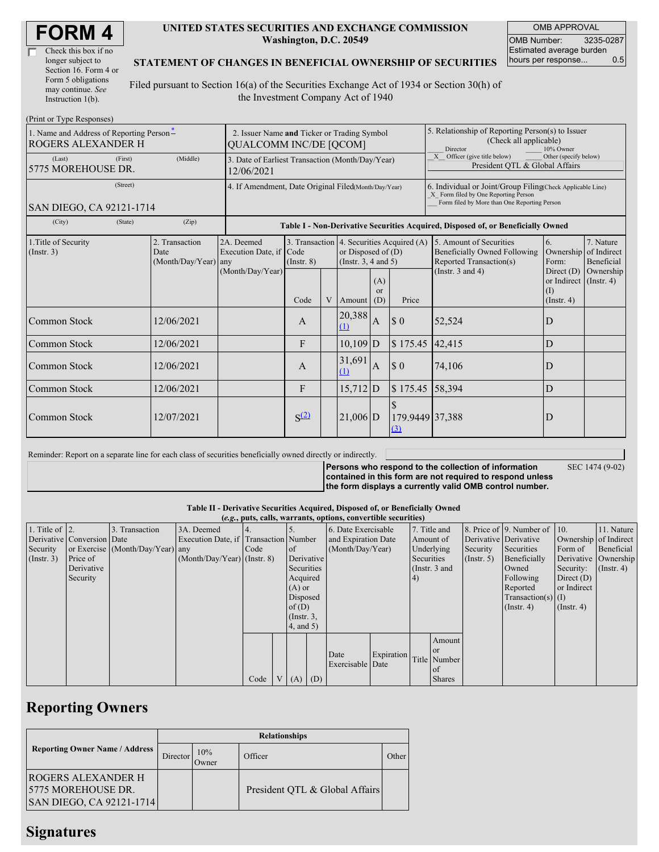| Check this box if no  |
|-----------------------|
| longer subject to     |
| Section 16. Form 4 or |
| Form 5 obligations    |
| may continue. See     |
| Instruction $1(b)$ .  |

#### **UNITED STATES SECURITIES AND EXCHANGE COMMISSION Washington, D.C. 20549**

OMB APPROVAL OMB Number: 3235-0287 Estimated average burden hours per response... 0.5

#### **STATEMENT OF CHANGES IN BENEFICIAL OWNERSHIP OF SECURITIES**

Filed pursuant to Section 16(a) of the Securities Exchange Act of 1934 or Section 30(h) of the Investment Company Act of 1940

| (Print or Type Responses)                                             |                                                                              |                                                                |                                                                                  |   |                                                                                           |                             |                                                                                                                                                    |                                                                                                                    |                                                      |                                                     |  |
|-----------------------------------------------------------------------|------------------------------------------------------------------------------|----------------------------------------------------------------|----------------------------------------------------------------------------------|---|-------------------------------------------------------------------------------------------|-----------------------------|----------------------------------------------------------------------------------------------------------------------------------------------------|--------------------------------------------------------------------------------------------------------------------|------------------------------------------------------|-----------------------------------------------------|--|
| 1. Name and Address of Reporting Person-<br><b>ROGERS ALEXANDER H</b> | 2. Issuer Name and Ticker or Trading Symbol<br><b>QUALCOMM INC/DE [QCOM]</b> |                                                                |                                                                                  |   |                                                                                           |                             | 5. Relationship of Reporting Person(s) to Issuer<br>(Check all applicable)<br>Director<br>10% Owner                                                |                                                                                                                    |                                                      |                                                     |  |
| (First)<br>(Last)<br>5775 MOREHOUSE DR.                               | (Middle)                                                                     | 3. Date of Earliest Transaction (Month/Day/Year)<br>12/06/2021 |                                                                                  |   |                                                                                           |                             |                                                                                                                                                    | X Officer (give title below)<br>Other (specify below)<br>President QTL & Global Affairs                            |                                                      |                                                     |  |
| (Street)                                                              | 4. If Amendment, Date Original Filed(Month/Day/Year)                         |                                                                |                                                                                  |   |                                                                                           |                             | 6. Individual or Joint/Group Filing(Check Applicable Line)<br>X Form filed by One Reporting Person<br>Form filed by More than One Reporting Person |                                                                                                                    |                                                      |                                                     |  |
| SAN DIEGO, CA 92121-1714                                              |                                                                              |                                                                |                                                                                  |   |                                                                                           |                             |                                                                                                                                                    |                                                                                                                    |                                                      |                                                     |  |
| (City)<br>(State)                                                     | (Zip)                                                                        |                                                                | Table I - Non-Derivative Securities Acquired, Disposed of, or Beneficially Owned |   |                                                                                           |                             |                                                                                                                                                    |                                                                                                                    |                                                      |                                                     |  |
| 1. Title of Security<br>(Insert. 3)                                   | 2. Transaction<br>Date<br>(Month/Day/Year) any                               | 2A. Deemed<br>Execution Date, if<br>(Month/Day/Year)           | Code<br>$($ Instr. $8)$                                                          |   | 3. Transaction 4. Securities Acquired (A)<br>or Disposed of $(D)$<br>(Insert. 3, 4 and 5) |                             |                                                                                                                                                    | 5. Amount of Securities<br><b>Beneficially Owned Following</b><br>Reported Transaction(s)<br>(Instr. $3$ and $4$ ) | 6.<br>Ownership<br>Form:<br>Direct $(D)$             | 7. Nature<br>of Indirect<br>Beneficial<br>Ownership |  |
|                                                                       |                                                                              |                                                                | Code                                                                             | V | Amount                                                                                    | (A)<br><sub>or</sub><br>(D) | Price                                                                                                                                              |                                                                                                                    | or Indirect (Instr. 4)<br>$($ I)<br>$($ Instr. 4 $)$ |                                                     |  |
| Common Stock                                                          | 12/06/2021                                                                   |                                                                | $\mathbf{A}$                                                                     |   | 20,388<br>(1)                                                                             | $\overline{A}$              | $\boldsymbol{\$}\ 0$                                                                                                                               | 52,524                                                                                                             | D                                                    |                                                     |  |
| Common Stock                                                          | 12/06/2021                                                                   |                                                                | $\mathbf{F}$                                                                     |   | $10,109$ D                                                                                |                             | \$175.45                                                                                                                                           | 42,415                                                                                                             | D                                                    |                                                     |  |
| <b>Common Stock</b>                                                   | 12/06/2021                                                                   |                                                                | A                                                                                |   | 31,691<br>(1)                                                                             | $\overline{A}$              | \$0                                                                                                                                                | 74,106                                                                                                             | D                                                    |                                                     |  |
| Common Stock                                                          | 12/06/2021                                                                   |                                                                | F                                                                                |   | $15,712$ D                                                                                |                             | \$175.45                                                                                                                                           | 58,394                                                                                                             | D                                                    |                                                     |  |
| Common Stock                                                          | 12/07/2021                                                                   |                                                                | S <sup>(2)</sup>                                                                 |   | $21,006$ D                                                                                |                             | $\hat{\mathbf{r}}$<br>179.9449 37,388<br>$\Omega$                                                                                                  |                                                                                                                    | D                                                    |                                                     |  |

Reminder: Report on a separate line for each class of securities beneficially owned directly or indirectly.

**Persons who respond to the collection of information contained in this form are not required to respond unless**

SEC 1474 (9-02)

**the form displays a currently valid OMB control number.**

**Table II - Derivative Securities Acquired, Disposed of, or Beneficially Owned**

|                        | (e.g., puts, calls, warrants, options, convertible securities) |                                  |                                       |      |          |                                    |                  |                     |            |                      |               |                       |                          |                       |            |
|------------------------|----------------------------------------------------------------|----------------------------------|---------------------------------------|------|----------|------------------------------------|------------------|---------------------|------------|----------------------|---------------|-----------------------|--------------------------|-----------------------|------------|
| 1. Title of $\vert$ 2. |                                                                | 3. Transaction                   | 3A. Deemed                            |      |          |                                    |                  | 6. Date Exercisable |            | 7. Title and         |               |                       | 8. Price of 9. Number of | $\vert$ 10.           | 11. Nature |
|                        | Derivative Conversion Date                                     |                                  | Execution Date, if Transaction Number |      |          |                                    |                  | and Expiration Date |            | Amount of            |               | Derivative Derivative |                          | Ownership of Indirect |            |
| Security               |                                                                | or Exercise (Month/Day/Year) any |                                       | Code |          | of                                 |                  | (Month/Day/Year)    |            | Underlying           |               | Security              | Securities               | Form of               | Beneficial |
| (Insert. 3)            | Price of                                                       |                                  | $(Month/Day/Year)$ (Instr. 8)         |      |          | Derivative                         |                  | Securities          |            | $($ Instr. 5 $)$     | Beneficially  | Derivative Ownership  |                          |                       |            |
|                        | Derivative                                                     |                                  |                                       |      |          | Securities                         |                  | (Instr. $3$ and     |            |                      | Owned         | Security:             | $($ Instr. 4 $)$         |                       |            |
|                        | Security                                                       |                                  |                                       |      | Acquired |                                    |                  | 4)                  |            |                      | Following     | Direct $(D)$          |                          |                       |            |
|                        |                                                                |                                  |                                       |      | $(A)$ or |                                    |                  |                     |            | Reported             | or Indirect   |                       |                          |                       |            |
|                        |                                                                |                                  |                                       |      | Disposed |                                    |                  |                     |            | Transaction(s) $(I)$ |               |                       |                          |                       |            |
|                        |                                                                |                                  |                                       |      | of(D)    |                                    |                  |                     |            |                      |               |                       | $($ Instr. 4 $)$         | $($ Instr. 4 $)$      |            |
|                        |                                                                |                                  |                                       |      |          | $($ Instr. $3,$<br>$4$ , and $5$ ) |                  |                     |            |                      |               |                       |                          |                       |            |
|                        |                                                                |                                  |                                       |      |          |                                    |                  |                     |            |                      |               |                       |                          |                       |            |
|                        |                                                                |                                  |                                       |      |          |                                    |                  |                     |            |                      | Amount        |                       |                          |                       |            |
|                        |                                                                |                                  |                                       |      |          |                                    |                  |                     |            |                      | <b>or</b>     |                       |                          |                       |            |
|                        |                                                                |                                  |                                       |      |          |                                    |                  | Date                | Expiration |                      | Title Number  |                       |                          |                       |            |
|                        |                                                                |                                  |                                       |      |          |                                    | Exercisable Date |                     |            | l of                 |               |                       |                          |                       |            |
|                        |                                                                |                                  |                                       | Code |          |                                    | $(A)$ $(D)$      |                     |            |                      | <b>Shares</b> |                       |                          |                       |            |

## **Reporting Owners**

|                                                                              | <b>Relationships</b> |              |                                |       |  |  |  |  |  |  |
|------------------------------------------------------------------------------|----------------------|--------------|--------------------------------|-------|--|--|--|--|--|--|
| <b>Reporting Owner Name / Address</b>                                        | Director             | 10%<br>Owner | Officer                        | Other |  |  |  |  |  |  |
| IROGERS ALEXANDER H<br>5775 MOREHOUSE DR.<br><b>SAN DIEGO, CA 92121-1714</b> |                      |              | President QTL & Global Affairs |       |  |  |  |  |  |  |

### **Signatures**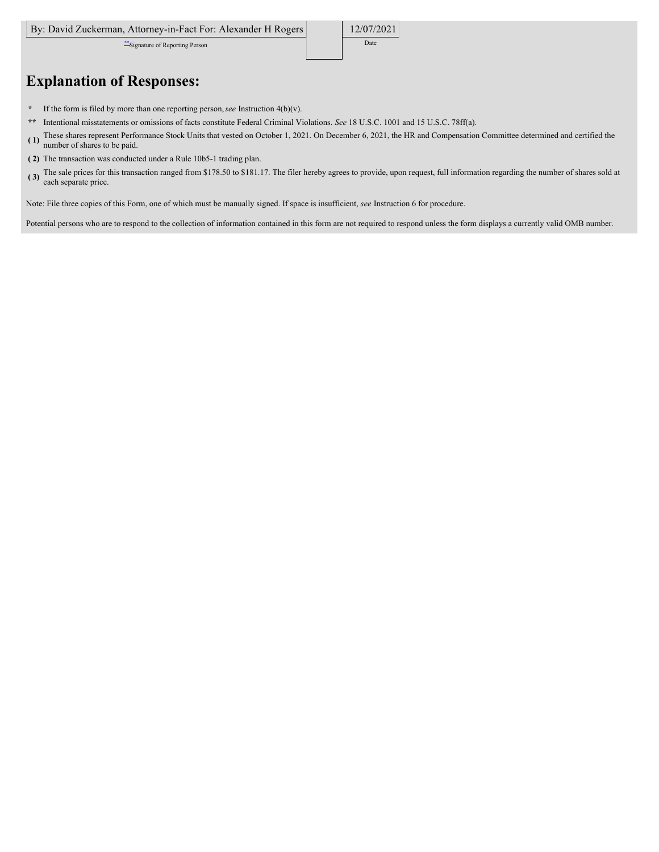\*\*Signature of Reporting Person Date

12/07/2021

# **Explanation of Responses:**

- **\*** If the form is filed by more than one reporting person,*see* Instruction 4(b)(v).
- **\*\*** Intentional misstatements or omissions of facts constitute Federal Criminal Violations. *See* 18 U.S.C. 1001 and 15 U.S.C. 78ff(a).
- **( 1)** These shares represent Performance Stock Units that vested on October 1, 2021. On December 6, 2021, the HR and Compensation Committee determined and certified the number of shares to be paid.
- **( 2)** The transaction was conducted under a Rule 10b5-1 trading plan.
- **( 3)** The sale prices for this transaction ranged from \$178.50 to \$181.17. The filer hereby agrees to provide, upon request, full information regarding the number of shares sold at each separate price.

Note: File three copies of this Form, one of which must be manually signed. If space is insufficient, *see* Instruction 6 for procedure.

Potential persons who are to respond to the collection of information contained in this form are not required to respond unless the form displays a currently valid OMB number.